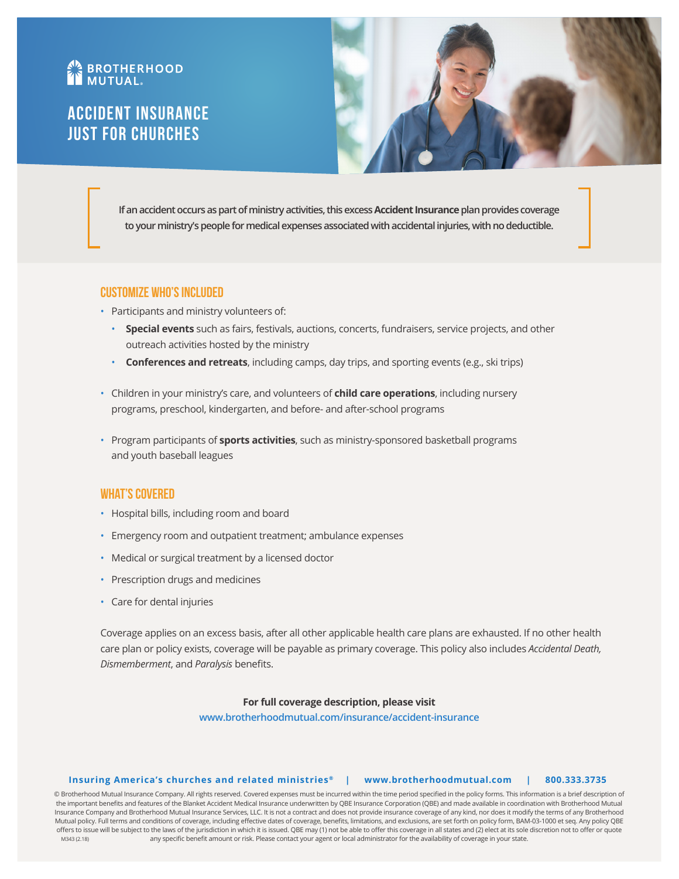# **AN BROTHERHOOD**

# Accident Insurance Just for Churches



**If an accident occurs as part of ministry activities, this excess Accident Insurance plan provides coverage to your ministry's people for medical expenses associated with accidental injuries, with no deductible.** 

## **Customize Who's Included**

- Participants and ministry volunteers of:
	- **Special events** such as fairs, festivals, auctions, concerts, fundraisers, service projects, and other outreach activities hosted by the ministry
	- **Conferences and retreats**, including camps, day trips, and sporting events (e.g., ski trips)
- Children in your ministry's care, and volunteers of **child care operations**, including nursery programs, preschool, kindergarten, and before- and after-school programs
- Program participants of **sports activities**, such as ministry-sponsored basketball programs and youth baseball leagues

# **What's Covered**

- Hospital bills, including room and board
- Emergency room and outpatient treatment; ambulance expenses
- Medical or surgical treatment by a licensed doctor
- Prescription drugs and medicines
- Care for dental injuries

Coverage applies on an excess basis, after all other applicable health care plans are exhausted. If no other health care plan or policy exists, coverage will be payable as primary coverage. This policy also includes *Accidental Death, Dismemberment*, and *Paralysis* benefits.

### **For full coverage description, please visit**

**[www.brotherhoodmutual.com/insurance/accident-insurance](https://www.brotherhoodmutual.com/insurance/accident-insurance/)**

#### **Insuring America's churches and related ministries ® | www.brotherhoodmutual.com | 800.333.3735**

any specific benefit amount or risk. Please contact your agent or local administrator for the availability of coverage in your state. © Brotherhood Mutual Insurance Company. All rights reserved. Covered expenses must be incurred within the time period specified in the policy forms. This information is a brief description of the important benefits and features of the Blanket Accident Medical Insurance underwritten by QBE Insurance Corporation (QBE) and made available in coordination with Brotherhood Mutual Insurance Company and Brotherhood Mutual Insurance Services, LLC. It is not a contract and does not provide insurance coverage of any kind, nor does it modify the terms of any Brotherhood Mutual policy. Full terms and conditions of coverage, including effective dates of coverage, benefits, limitations, and exclusions, are set forth on policy form, BAM-03-1000 et seq. Any policy QBE offers to issue will be subject to the laws of the jurisdiction in which it is issued. QBE may (1) not be able to offer this coverage in all states and (2) elect at its sole discretion not to offer or quote M343 (2.18)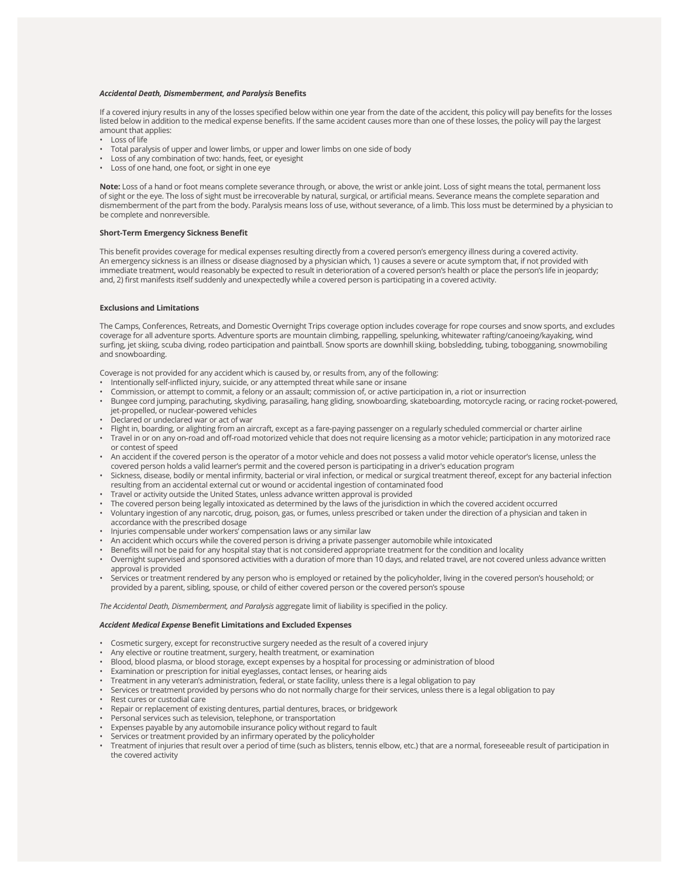#### *Accidental Death, Dismemberment, and Paralysis* **Benefits**

If a covered injury results in any of the losses specified below within one year from the date of the accident, this policy will pay benefits for the losses listed below in addition to the medical expense benefits. If the same accident causes more than one of these losses, the policy will pay the largest amount that applies:

- Loss of life
- Total paralysis of upper and lower limbs, or upper and lower limbs on one side of body
- Loss of any combination of two: hands, feet, or eyesight
- Loss of one hand, one foot, or sight in one eye

**Note:** Loss of a hand or foot means complete severance through, or above, the wrist or ankle joint. Loss of sight means the total, permanent loss of sight or the eye. The loss of sight must be irrecoverable by natural, surgical, or artificial means. Severance means the complete separation and dismemberment of the part from the body. Paralysis means loss of use, without severance, of a limb. This loss must be determined by a physician to be complete and nonreversible.

#### **Short-Term Emergency Sickness Benefit**

This benefit provides coverage for medical expenses resulting directly from a covered person's emergency illness during a covered activity. An emergency sickness is an illness or disease diagnosed by a physician which, 1) causes a severe or acute symptom that, if not provided with immediate treatment, would reasonably be expected to result in deterioration of a covered person's health or place the person's life in jeopardy; and, 2) first manifests itself suddenly and unexpectedly while a covered person is participating in a covered activity.

#### **Exclusions and Limitations**

The Camps, Conferences, Retreats, and Domestic Overnight Trips coverage option includes coverage for rope courses and snow sports, and excludes coverage for all adventure sports. Adventure sports are mountain climbing, rappelling, spelunking, whitewater rafting/canoeing/kayaking, wind surfing, jet skiing, scuba diving, rodeo participation and paintball. Snow sports are downhill skiing, bobsledding, tubing, tobogganing, snowmobiling and snowboarding.

Coverage is not provided for any accident which is caused by, or results from, any of the following:

- Intentionally self-inflicted injury, suicide, or any attempted threat while sane or insane
- Commission, or attempt to commit, a felony or an assault; commission of, or active participation in, a riot or insurrection
- Bungee cord jumping, parachuting, skydiving, parasailing, hang gliding, snowboarding, skateboarding, motorcycle racing, or racing rocket-powered, jet-propelled, or nuclear-powered vehicles
- Declared or undeclared war or act of war
- Flight in, boarding, or alighting from an aircraft, except as a fare-paying passenger on a regularly scheduled commercial or charter airline
- Travel in or on any on-road and off-road motorized vehicle that does not require licensing as a motor vehicle; participation in any motorized race or contest of speed
- An accident if the covered person is the operator of a motor vehicle and does not possess a valid motor vehicle operator's license, unless the covered person holds a valid learner's permit and the covered person is participating in a driver's education program
- Sickness, disease, bodily or mental infirmity, bacterial or viral infection, or medical or surgical treatment thereof, except for any bacterial infection resulting from an accidental external cut or wound or accidental ingestion of contaminated food
- Travel or activity outside the United States, unless advance written approval is provided
- The covered person being legally intoxicated as determined by the laws of the jurisdiction in which the covered accident occurred
- Voluntary ingestion of any narcotic, drug, poison, gas, or fumes, unless prescribed or taken under the direction of a physician and taken in accordance with the prescribed dosage
- Injuries compensable under workers' compensation laws or any similar law
- An accident which occurs while the covered person is driving a private passenger automobile while intoxicated
- Benefits will not be paid for any hospital stay that is not considered appropriate treatment for the condition and locality
- Overnight supervised and sponsored activities with a duration of more than 10 days, and related travel, are not covered unless advance written approval is provided
- Services or treatment rendered by any person who is employed or retained by the policyholder, living in the covered person's household; or provided by a parent, sibling, spouse, or child of either covered person or the covered person's spouse

*The Accidental Death, Dismemberment, and Paralysis* aggregate limit of liability is specified in the policy.

#### *Accident Medical Expense* **Benefit Limitations and Excluded Expenses**

- Cosmetic surgery, except for reconstructive surgery needed as the result of a covered injury
- Any elective or routine treatment, surgery, health treatment, or examination
- Blood, blood plasma, or blood storage, except expenses by a hospital for processing or administration of blood
- Examination or prescription for initial eyeglasses, contact lenses, or hearing aids
- Treatment in any veteran's administration, federal, or state facility, unless there is a legal obligation to pay
- Services or treatment provided by persons who do not normally charge for their services, unless there is a legal obligation to pay
- Rest cures or custodial care
- Repair or replacement of existing dentures, partial dentures, braces, or bridgework
- Personal services such as television, telephone, or transportation
- Expenses payable by any automobile insurance policy without regard to fault
- Services or treatment provided by an infirmary operated by the policyholder
- Treatment of injuries that result over a period of time (such as blisters, tennis elbow, etc.) that are a normal, foreseeable result of participation in the covered activity